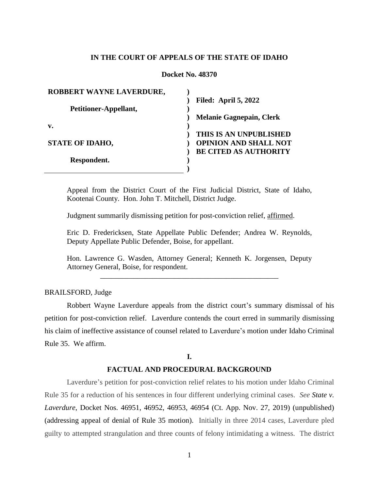# **IN THE COURT OF APPEALS OF THE STATE OF IDAHO**

#### **Docket No. 48370**

| ROBBERT WAYNE LAVERDURE, |                                 |
|--------------------------|---------------------------------|
|                          | <b>Filed: April 5, 2022</b>     |
| Petitioner-Appellant,    |                                 |
|                          | <b>Melanie Gagnepain, Clerk</b> |
| $\mathbf{v}$ .           |                                 |
|                          | THIS IS AN UNPUBLISHED          |
| <b>STATE OF IDAHO,</b>   | <b>OPINION AND SHALL NOT</b>    |
|                          | <b>BE CITED AS AUTHORITY</b>    |
| Respondent.              |                                 |
|                          |                                 |

Appeal from the District Court of the First Judicial District, State of Idaho, Kootenai County. Hon. John T. Mitchell, District Judge.

Judgment summarily dismissing petition for post-conviction relief, affirmed.

Eric D. Fredericksen, State Appellate Public Defender; Andrea W. Reynolds, Deputy Appellate Public Defender, Boise, for appellant.

Hon. Lawrence G. Wasden, Attorney General; Kenneth K. Jorgensen, Deputy Attorney General, Boise, for respondent.

\_\_\_\_\_\_\_\_\_\_\_\_\_\_\_\_\_\_\_\_\_\_\_\_\_\_\_\_\_\_\_\_\_\_\_\_\_\_\_\_\_\_\_\_\_\_\_\_

# BRAILSFORD, Judge

Robbert Wayne Laverdure appeals from the district court's summary dismissal of his petition for post-conviction relief. Laverdure contends the court erred in summarily dismissing his claim of ineffective assistance of counsel related to Laverdure's motion under Idaho Criminal Rule 35. We affirm.

## **I.**

#### **FACTUAL AND PROCEDURAL BACKGROUND**

Laverdure's petition for post-conviction relief relates to his motion under Idaho Criminal Rule 35 for a reduction of his sentences in four different underlying criminal cases. *See State v. Laverdure*, Docket Nos. 46951, 46952, 46953, 46954 (Ct. App. Nov. 27, 2019) (unpublished) (addressing appeal of denial of Rule 35 motion). Initially in three 2014 cases, Laverdure pled guilty to attempted strangulation and three counts of felony intimidating a witness. The district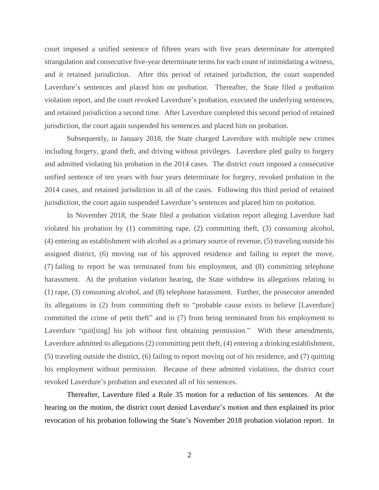court imposed a unified sentence of fifteen years with five years determinate for attempted strangulation and consecutive five-year determinate terms for each count of intimidating a witness, and it retained jurisdiction. After this period of retained jurisdiction, the court suspended Laverdure's sentences and placed him on probation. Thereafter, the State filed a probation violation report, and the court revoked Laverdure's probation, executed the underlying sentences, and retained jurisdiction a second time. After Laverdure completed this second period of retained jurisdiction, the court again suspended his sentences and placed him on probation.

Subsequently, in January 2018, the State charged Laverdure with multiple new crimes including forgery, grand theft, and driving without privileges. Laverdure pled guilty to forgery and admitted violating his probation in the 2014 cases. The district court imposed a consecutive unified sentence of ten years with four years determinate for forgery, revoked probation in the 2014 cases, and retained jurisdiction in all of the cases. Following this third period of retained jurisdiction, the court again suspended Laverdure's sentences and placed him on probation.

In November 2018, the State filed a probation violation report alleging Laverdure had violated his probation by (1) committing rape, (2) committing theft, (3) consuming alcohol, (4) entering an establishment with alcohol as a primary source of revenue, (5) traveling outside his assigned district, (6) moving out of his approved residence and failing to report the move, (7) failing to report he was terminated from his employment, and (8) committing telephone harassment. At the probation violation hearing, the State withdrew its allegations relating to (1) rape, (3) consuming alcohol, and (8) telephone harassment. Further, the prosecutor amended its allegations in (2) from committing theft to "probable cause exists to believe [Laverdure] committed the crime of petit theft" and in (7) from being terminated from his employment to Laverdure "quite ling" his job without first obtaining permission." With these amendments, Laverdure admitted to allegations (2) committing petit theft, (4) entering a drinking establishment, (5) traveling outside the district, (6) failing to report moving out of his residence, and (7) quitting his employment without permission. Because of these admitted violations, the district court revoked Laverdure's probation and executed all of his sentences.

Thereafter, Laverdure filed a Rule 35 motion for a reduction of his sentences. At the hearing on the motion, the district court denied Laverdure's motion and then explained its prior revocation of his probation following the State's November 2018 probation violation report. In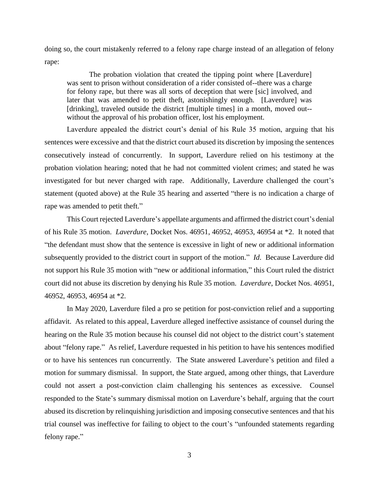doing so, the court mistakenly referred to a felony rape charge instead of an allegation of felony rape:

The probation violation that created the tipping point where [Laverdure] was sent to prison without consideration of a rider consisted of--there was a charge for felony rape, but there was all sorts of deception that were [sic] involved, and later that was amended to petit theft, astonishingly enough. [Laverdure] was [drinking], traveled outside the district [multiple times] in a month, moved out-without the approval of his probation officer, lost his employment.

Laverdure appealed the district court's denial of his Rule 35 motion, arguing that his sentences were excessive and that the district court abused its discretion by imposing the sentences consecutively instead of concurrently. In support, Laverdure relied on his testimony at the probation violation hearing; noted that he had not committed violent crimes; and stated he was investigated for but never charged with rape. Additionally, Laverdure challenged the court's statement (quoted above) at the Rule 35 hearing and asserted "there is no indication a charge of rape was amended to petit theft."

This Court rejected Laverdure's appellate arguments and affirmed the district court's denial of his Rule 35 motion. *Laverdure*, Docket Nos. 46951, 46952, 46953, 46954 at \*2. It noted that "the defendant must show that the sentence is excessive in light of new or additional information subsequently provided to the district court in support of the motion." *Id*. Because Laverdure did not support his Rule 35 motion with "new or additional information," this Court ruled the district court did not abuse its discretion by denying his Rule 35 motion. *Laverdure*, Docket Nos. 46951, 46952, 46953, 46954 at \*2.

In May 2020, Laverdure filed a pro se petition for post-conviction relief and a supporting affidavit. As related to this appeal, Laverdure alleged ineffective assistance of counsel during the hearing on the Rule 35 motion because his counsel did not object to the district court's statement about "felony rape." As relief, Laverdure requested in his petition to have his sentences modified or to have his sentences run concurrently. The State answered Laverdure's petition and filed a motion for summary dismissal. In support, the State argued, among other things, that Laverdure could not assert a post-conviction claim challenging his sentences as excessive. Counsel responded to the State's summary dismissal motion on Laverdure's behalf, arguing that the court abused its discretion by relinquishing jurisdiction and imposing consecutive sentences and that his trial counsel was ineffective for failing to object to the court's "unfounded statements regarding felony rape."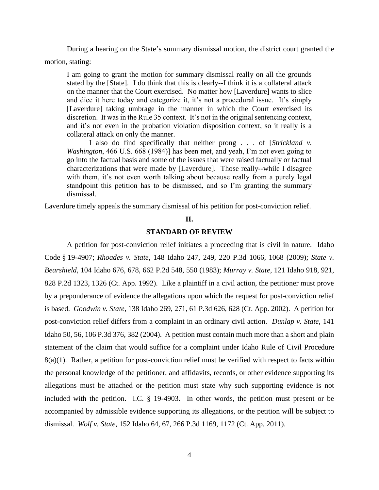During a hearing on the State's summary dismissal motion, the district court granted the motion, stating:

I am going to grant the motion for summary dismissal really on all the grounds stated by the [State]. I do think that this is clearly--I think it is a collateral attack on the manner that the Court exercised. No matter how [Laverdure] wants to slice and dice it here today and categorize it, it's not a procedural issue. It's simply [Laverdure] taking umbrage in the manner in which the Court exercised its discretion. It was in the Rule 35 context. It's not in the original sentencing context, and it's not even in the probation violation disposition context, so it really is a collateral attack on only the manner.

I also do find specifically that neither prong . . . of [*Strickland v. Washington*, 466 U.S. 668 (1984)] has been met, and yeah, I'm not even going to go into the factual basis and some of the issues that were raised factually or factual characterizations that were made by [Laverdure]. Those really--while I disagree with them, it's not even worth talking about because really from a purely legal standpoint this petition has to be dismissed, and so I'm granting the summary dismissal.

Laverdure timely appeals the summary dismissal of his petition for post-conviction relief.

#### **II.**

## **STANDARD OF REVIEW**

A petition for post-conviction relief initiates a proceeding that is civil in nature.Idaho Code § 19-4907; *Rhoades v. State*, 148 Idaho 247, 249, 220 P.3d 1066, 1068 (2009); *State v. Bearshield*, 104 Idaho 676, 678, 662 P.2d 548, 550 (1983); *Murray v. State*, 121 Idaho 918, 921, 828 P.2d 1323, 1326 (Ct. App. 1992). Like a plaintiff in a civil action, the petitioner must prove by a preponderance of evidence the allegations upon which the request for post-conviction relief is based. *Goodwin v. State*, 138 Idaho 269, 271, 61 P.3d 626, 628 (Ct. App. 2002). A petition for post-conviction relief differs from a complaint in an ordinary civil action. *Dunlap v. State*, 141 Idaho 50, 56, 106 P.3d 376, 382 (2004). A petition must contain much more than a short and plain statement of the claim that would suffice for a complaint under Idaho Rule of Civil Procedure 8(a)(1). Rather, a petition for post-conviction relief must be verified with respect to facts within the personal knowledge of the petitioner, and affidavits, records, or other evidence supporting its allegations must be attached or the petition must state why such supporting evidence is not included with the petition. I.C. § 19-4903. In other words, the petition must present or be accompanied by admissible evidence supporting its allegations, or the petition will be subject to dismissal. *Wolf v. State*, 152 Idaho 64, 67, 266 P.3d 1169, 1172 (Ct. App. 2011).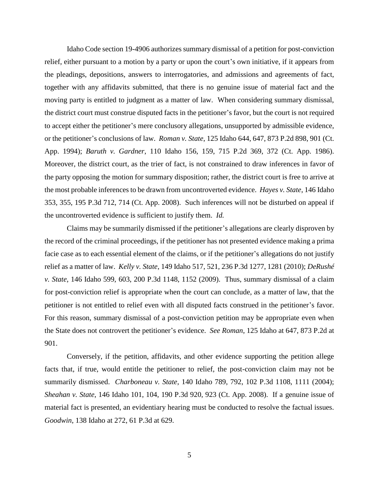Idaho Code section 19-4906 authorizes summary dismissal of a petition for post-conviction relief, either pursuant to a motion by a party or upon the court's own initiative, if it appears from the pleadings, depositions, answers to interrogatories, and admissions and agreements of fact, together with any affidavits submitted, that there is no genuine issue of material fact and the moving party is entitled to judgment as a matter of law. When considering summary dismissal, the district court must construe disputed facts in the petitioner's favor, but the court is not required to accept either the petitioner's mere conclusory allegations, unsupported by admissible evidence, or the petitioner's conclusions of law. *Roman v. State*, 125 Idaho 644, 647, 873 P.2d 898, 901 (Ct. App. 1994); *Baruth v. Gardner*, 110 Idaho 156, 159, 715 P.2d 369, 372 (Ct. App. 1986). Moreover, the district court, as the trier of fact, is not constrained to draw inferences in favor of the party opposing the motion for summary disposition; rather, the district court is free to arrive at the most probable inferences to be drawn from uncontroverted evidence. *Hayes v. State*, 146 Idaho 353, 355, 195 P.3d 712, 714 (Ct. App. 2008). Such inferences will not be disturbed on appeal if the uncontroverted evidence is sufficient to justify them. *Id.*

Claims may be summarily dismissed if the petitioner's allegations are clearly disproven by the record of the criminal proceedings, if the petitioner has not presented evidence making a prima facie case as to each essential element of the claims, or if the petitioner's allegations do not justify relief as a matter of law. *Kelly v. State*, 149 Idaho 517, 521, 236 P.3d 1277, 1281 (2010); *DeRushé v. State*, 146 Idaho 599, 603, 200 P.3d 1148, 1152 (2009). Thus, summary dismissal of a claim for post-conviction relief is appropriate when the court can conclude, as a matter of law, that the petitioner is not entitled to relief even with all disputed facts construed in the petitioner's favor. For this reason, summary dismissal of a post-conviction petition may be appropriate even when the State does not controvert the petitioner's evidence. *See Roman*, 125 Idaho at 647, 873 P.2d at 901.

Conversely, if the petition, affidavits, and other evidence supporting the petition allege facts that, if true, would entitle the petitioner to relief, the post-conviction claim may not be summarily dismissed. *Charboneau v. State*, 140 Idaho 789, 792, 102 P.3d 1108, 1111 (2004); *Sheahan v. State*, 146 Idaho 101, 104, 190 P.3d 920, 923 (Ct. App. 2008). If a genuine issue of material fact is presented, an evidentiary hearing must be conducted to resolve the factual issues. *Goodwin*, 138 Idaho at 272, 61 P.3d at 629.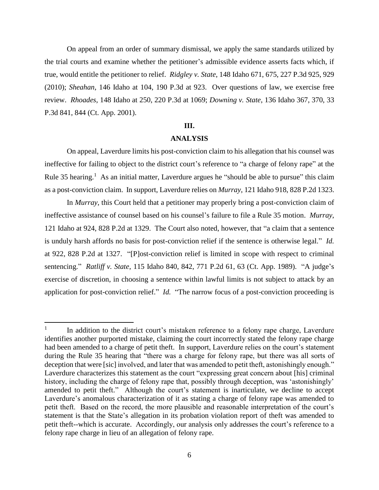On appeal from an order of summary dismissal, we apply the same standards utilized by the trial courts and examine whether the petitioner's admissible evidence asserts facts which, if true, would entitle the petitioner to relief. *Ridgley v. State*, 148 Idaho 671, 675, 227 P.3d 925, 929 (2010); *Sheahan*, 146 Idaho at 104, 190 P.3d at 923. Over questions of law, we exercise free review. *Rhoades*, 148 Idaho at 250, 220 P.3d at 1069; *Downing v. State*, 136 Idaho 367, 370, 33 P.3d 841, 844 (Ct. App. 2001).

#### **III.**

## **ANALYSIS**

On appeal, Laverdure limits his post-conviction claim to his allegation that his counsel was ineffective for failing to object to the district court's reference to "a charge of felony rape" at the Rule 35 hearing.<sup>1</sup> As an initial matter, Laverdure argues he "should be able to pursue" this claim as a post-conviction claim. In support, Laverdure relies on *Murray*, 121 Idaho 918, 828 P.2d 1323.

In *Murray*, this Court held that a petitioner may properly bring a post-conviction claim of ineffective assistance of counsel based on his counsel's failure to file a Rule 35 motion. *Murray*, 121 Idaho at 924, 828 P.2d at 1329. The Court also noted, however, that "a claim that a sentence is unduly harsh affords no basis for post-conviction relief if the sentence is otherwise legal." *Id.* at 922, 828 P.2d at 1327. "[P]ost-conviction relief is limited in scope with respect to criminal sentencing." *Ratliff v. State*, 115 Idaho 840, 842, 771 P.2d 61, 63 (Ct. App. 1989). "A judge's exercise of discretion, in choosing a sentence within lawful limits is not subject to attack by an application for post-conviction relief." *Id.* "The narrow focus of a post-conviction proceeding is

 $\overline{a}$ 

<sup>1</sup> In addition to the district court's mistaken reference to a felony rape charge, Laverdure identifies another purported mistake, claiming the court incorrectly stated the felony rape charge had been amended to a charge of petit theft. In support, Laverdure relies on the court's statement during the Rule 35 hearing that "there was a charge for felony rape, but there was all sorts of deception that were [sic] involved, and later that was amended to petit theft, astonishingly enough." Laverdure characterizes this statement as the court "expressing great concern about [his] criminal history, including the charge of felony rape that, possibly through deception, was 'astonishingly' amended to petit theft." Although the court's statement is inarticulate, we decline to accept Laverdure's anomalous characterization of it as stating a charge of felony rape was amended to petit theft. Based on the record, the more plausible and reasonable interpretation of the court's statement is that the State's allegation in its probation violation report of theft was amended to petit theft--which is accurate. Accordingly, our analysis only addresses the court's reference to a felony rape charge in lieu of an allegation of felony rape.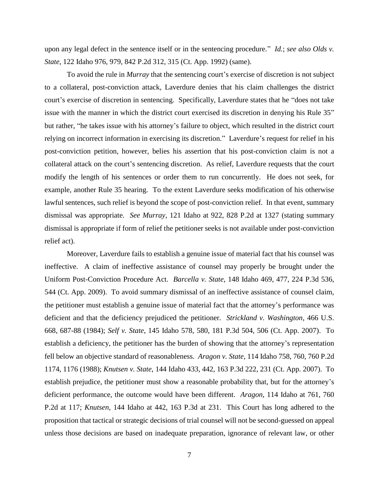upon any legal defect in the sentence itself or in the sentencing procedure." *Id.*; *see also Olds v. State*, 122 Idaho 976, 979, 842 P.2d 312, 315 (Ct. App. 1992) (same).

To avoid the rule in *Murray* that the sentencing court's exercise of discretion is not subject to a collateral, post-conviction attack, Laverdure denies that his claim challenges the district court's exercise of discretion in sentencing. Specifically, Laverdure states that he "does not take issue with the manner in which the district court exercised its discretion in denying his Rule 35" but rather, "he takes issue with his attorney's failure to object, which resulted in the district court relying on incorrect information in exercising its discretion." Laverdure's request for relief in his post-conviction petition, however, belies his assertion that his post-conviction claim is not a collateral attack on the court's sentencing discretion. As relief, Laverdure requests that the court modify the length of his sentences or order them to run concurrently. He does not seek, for example, another Rule 35 hearing. To the extent Laverdure seeks modification of his otherwise lawful sentences, such relief is beyond the scope of post-conviction relief. In that event, summary dismissal was appropriate. *See Murray*, 121 Idaho at 922, 828 P.2d at 1327 (stating summary dismissal is appropriate if form of relief the petitioner seeks is not available under post-conviction relief act).

Moreover, Laverdure fails to establish a genuine issue of material fact that his counsel was ineffective. A claim of ineffective assistance of counsel may properly be brought under the Uniform Post-Conviction Procedure Act. *Barcella v. State*, 148 Idaho 469, 477, 224 P.3d 536, 544 (Ct. App. 2009). To avoid summary dismissal of an ineffective assistance of counsel claim, the petitioner must establish a genuine issue of material fact that the attorney's performance was deficient and that the deficiency prejudiced the petitioner. *Strickland v. Washington*, 466 U.S. 668, 687-88 (1984); *Self v. State*, 145 Idaho 578, 580, 181 P.3d 504, 506 (Ct. App. 2007). To establish a deficiency, the petitioner has the burden of showing that the attorney's representation fell below an objective standard of reasonableness. *Aragon v. State*, 114 Idaho 758, 760, 760 P.2d 1174, 1176 (1988); *Knutsen v. State*, 144 Idaho 433, 442, 163 P.3d 222, 231 (Ct. App. 2007). To establish prejudice, the petitioner must show a reasonable probability that, but for the attorney's deficient performance, the outcome would have been different. *Aragon*, 114 Idaho at 761, 760 P.2d at 117; *Knutsen*, 144 Idaho at 442, 163 P.3d at 231. This Court has long adhered to the proposition that tactical or strategic decisions of trial counsel will not be second-guessed on appeal unless those decisions are based on inadequate preparation, ignorance of relevant law, or other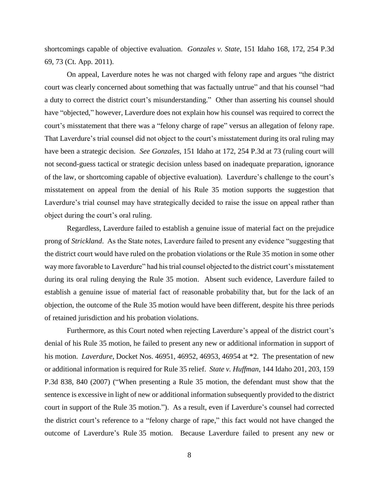shortcomings capable of objective evaluation. *Gonzales v. State*, 151 Idaho 168, 172, 254 P.3d 69, 73 (Ct. App. 2011).

On appeal, Laverdure notes he was not charged with felony rape and argues "the district court was clearly concerned about something that was factually untrue" and that his counsel "had a duty to correct the district court's misunderstanding." Other than asserting his counsel should have "objected," however, Laverdure does not explain how his counsel was required to correct the court's misstatement that there was a "felony charge of rape" versus an allegation of felony rape. That Laverdure's trial counsel did not object to the court's misstatement during its oral ruling may have been a strategic decision. *See Gonzales*, 151 Idaho at 172, 254 P.3d at 73 (ruling court will not second-guess tactical or strategic decision unless based on inadequate preparation, ignorance of the law, or shortcoming capable of objective evaluation). Laverdure's challenge to the court's misstatement on appeal from the denial of his Rule 35 motion supports the suggestion that Laverdure's trial counsel may have strategically decided to raise the issue on appeal rather than object during the court's oral ruling.

Regardless, Laverdure failed to establish a genuine issue of material fact on the prejudice prong of *Strickland*. As the State notes, Laverdure failed to present any evidence "suggesting that the district court would have ruled on the probation violations or the Rule 35 motion in some other way more favorable to Laverdure" had his trial counsel objected to the district court's misstatement during its oral ruling denying the Rule 35 motion. Absent such evidence, Laverdure failed to establish a genuine issue of material fact of reasonable probability that, but for the lack of an objection, the outcome of the Rule 35 motion would have been different, despite his three periods of retained jurisdiction and his probation violations.

Furthermore, as this Court noted when rejecting Laverdure's appeal of the district court's denial of his Rule 35 motion, he failed to present any new or additional information in support of his motion. *Laverdure*, Docket Nos. 46951, 46952, 46953, 46954 at \*2. The presentation of new or additional information is required for Rule 35 relief. *State v. Huffman*, 144 Idaho 201, 203, 159 P.3d 838, 840 (2007) ("When presenting a Rule 35 motion, the defendant must show that the sentence is excessive in light of new or additional information subsequently provided to the district court in support of the Rule 35 motion."). As a result, even if Laverdure's counsel had corrected the district court's reference to a "felony charge of rape," this fact would not have changed the outcome of Laverdure's Rule 35 motion. Because Laverdure failed to present any new or